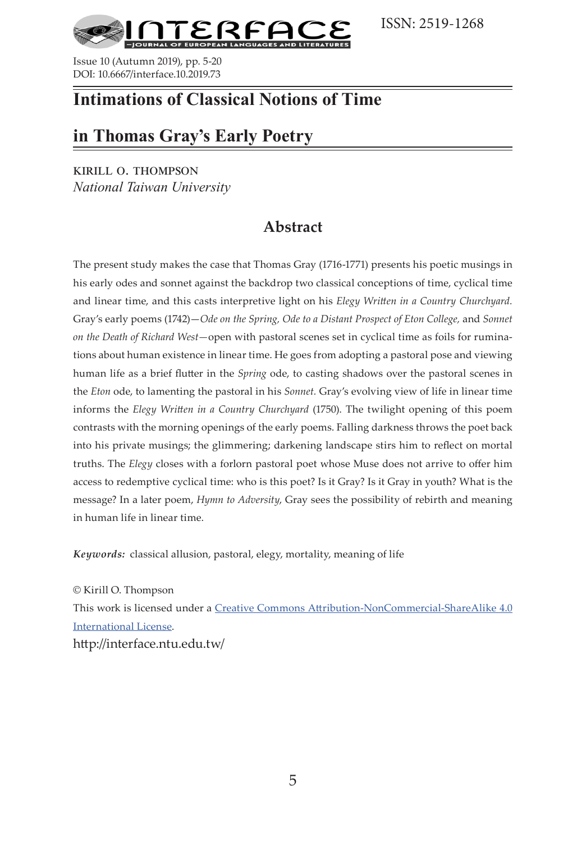ISSN: 2519-1268



Issue 10 (Autumn 2019), pp. 5-20 DOI: 10.6667/interface.10.2019.73

## **Intimations of Classical Notions of Time**

## **in Thomas Gray's Early Poetry**

kirill o. thompson *National Taiwan University*

## **Abstract**

The present study makes the case that Thomas Gray (1716-1771) presents his poetic musings in his early odes and sonnet against the backdrop two classical conceptions of time, cyclical time and linear time, and this casts interpretive light on his *Elegy Written in a Country Churchyard.*  Gray's early poems (1742)—*Ode on the Spring, Ode to a Distant Prospect of Eton College, and Sonnet on the Death of Richard West—*open with pastoral scenes set in cyclical time as foils for ruminations about human existence in linear time. He goes from adopting a pastoral pose and viewing human life as a brief flutter in the *Spring* ode, to casting shadows over the pastoral scenes in the *Eton* ode, to lamenting the pastoral in his *Sonnet.* Gray's evolving view of life in linear time informs the *Elegy Written in a Country Churchyard* (1750). The twilight opening of this poem contrasts with the morning openings of the early poems. Falling darkness throws the poet back into his private musings; the glimmering; darkening landscape stirs him to reflect on mortal truths. The *Elegy* closes with a forlorn pastoral poet whose Muse does not arrive to offer him access to redemptive cyclical time: who is this poet? Is it Gray? Is it Gray in youth? What is the message? In a later poem, *Hymn to Adversity*, Gray sees the possibility of rebirth and meaning in human life in linear time.

*Keywords:* classical allusion, pastoral, elegy, mortality, meaning of life

© Kirill O. Thompson This work is licensed under a [Creative Commons Attribution-NonCommercial-ShareAlike 4.0](https://creativecommons.org/licenses/by-nc-sa/4.0/)  [International License.](https://creativecommons.org/licenses/by-nc-sa/4.0/) http://interface.ntu.edu.tw/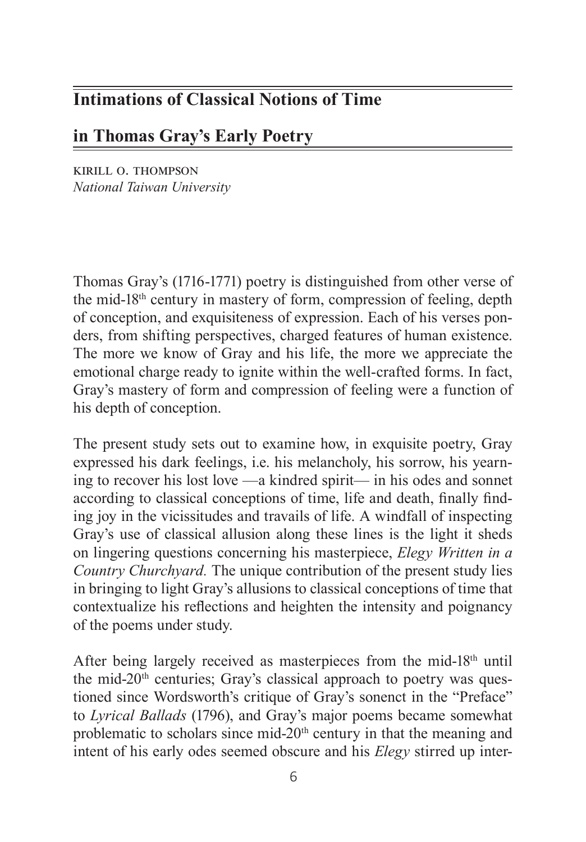# **Intimations of Classical Notions of Time**

## **in Thomas Gray's Early Poetry**

kirill o. thompson *National Taiwan University*

Thomas Gray's (1716-1771) poetry is distinguished from other verse of the mid-18th century in mastery of form, compression of feeling, depth of conception, and exquisiteness of expression. Each of his verses ponders, from shifting perspectives, charged features of human existence. The more we know of Gray and his life, the more we appreciate the emotional charge ready to ignite within the well-crafted forms. In fact, Gray's mastery of form and compression of feeling were a function of his depth of conception.

The present study sets out to examine how, in exquisite poetry, Gray expressed his dark feelings, i.e. his melancholy, his sorrow, his yearning to recover his lost love —a kindred spirit— in his odes and sonnet according to classical conceptions of time, life and death, finally finding joy in the vicissitudes and travails of life. A windfall of inspecting Gray's use of classical allusion along these lines is the light it sheds on lingering questions concerning his masterpiece, *Elegy Written in a Country Churchyard.* The unique contribution of the present study lies in bringing to light Gray's allusions to classical conceptions of time that contextualize his reflections and heighten the intensity and poignancy of the poems under study.

After being largely received as masterpieces from the mid-18th until the mid-20<sup>th</sup> centuries; Gray's classical approach to poetry was questioned since Wordsworth's critique of Gray's sonenct in the "Preface" to *Lyrical Ballads* (1796), and Gray's major poems became somewhat problematic to scholars since mid- $20<sup>th</sup>$  century in that the meaning and intent of his early odes seemed obscure and his *Elegy* stirred up inter-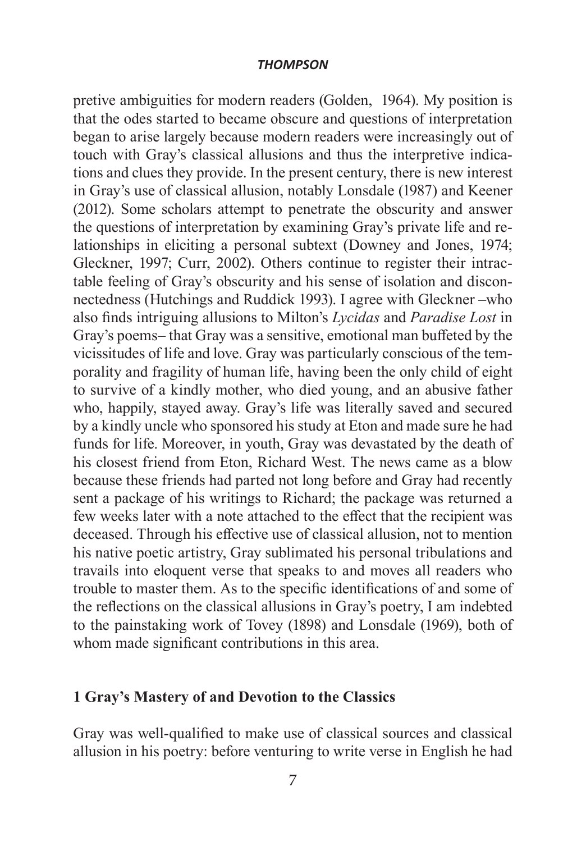pretive ambiguities for modern readers (Golden, 1964). My position is that the odes started to became obscure and questions of interpretation began to arise largely because modern readers were increasingly out of touch with Gray's classical allusions and thus the interpretive indications and clues they provide. In the present century, there is new interest in Gray's use of classical allusion, notably Lonsdale (1987) and Keener (2012). Some scholars attempt to penetrate the obscurity and answer the questions of interpretation by examining Gray's private life and relationships in eliciting a personal subtext (Downey and Jones, 1974; Gleckner, 1997; Curr, 2002). Others continue to register their intractable feeling of Gray's obscurity and his sense of isolation and disconnectedness (Hutchings and Ruddick 1993). I agree with Gleckner –who also finds intriguing allusions to Milton's *Lycidas* and *Paradise Lost* in Gray's poems– that Gray was a sensitive, emotional man buffeted by the vicissitudes of life and love. Gray was particularly conscious of the temporality and fragility of human life, having been the only child of eight to survive of a kindly mother, who died young, and an abusive father who, happily, stayed away. Gray's life was literally saved and secured by a kindly uncle who sponsored his study at Eton and made sure he had funds for life. Moreover, in youth, Gray was devastated by the death of his closest friend from Eton, Richard West. The news came as a blow because these friends had parted not long before and Gray had recently sent a package of his writings to Richard; the package was returned a few weeks later with a note attached to the effect that the recipient was deceased. Through his effective use of classical allusion, not to mention his native poetic artistry, Gray sublimated his personal tribulations and travails into eloquent verse that speaks to and moves all readers who trouble to master them. As to the specific identifications of and some of the reflections on the classical allusions in Gray's poetry, I am indebted to the painstaking work of Tovey (1898) and Lonsdale (1969), both of whom made significant contributions in this area.

### **1 Gray's Mastery of and Devotion to the Classics**

Gray was well-qualified to make use of classical sources and classical allusion in his poetry: before venturing to write verse in English he had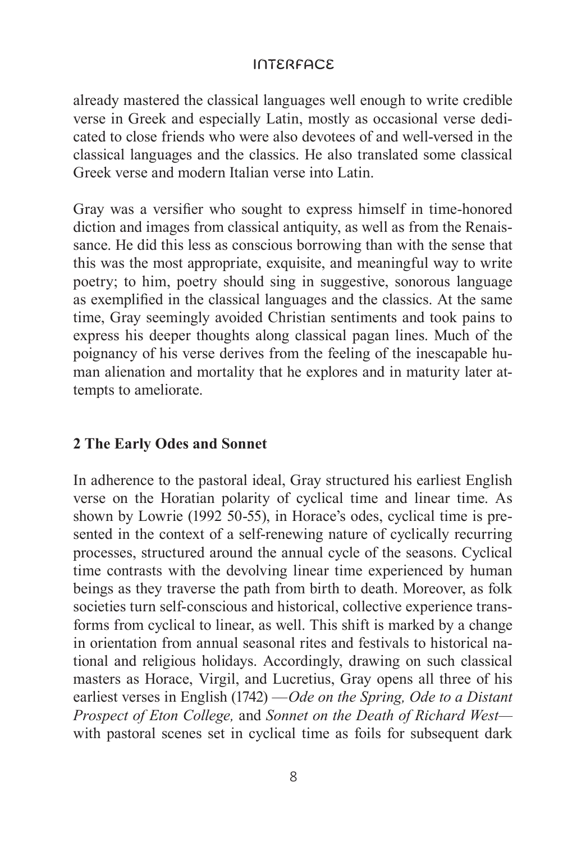already mastered the classical languages well enough to write credible verse in Greek and especially Latin, mostly as occasional verse dedicated to close friends who were also devotees of and well-versed in the classical languages and the classics. He also translated some classical Greek verse and modern Italian verse into Latin.

Gray was a versifier who sought to express himself in time-honored diction and images from classical antiquity, as well as from the Renaissance. He did this less as conscious borrowing than with the sense that this was the most appropriate, exquisite, and meaningful way to write poetry; to him, poetry should sing in suggestive, sonorous language as exemplified in the classical languages and the classics. At the same time, Gray seemingly avoided Christian sentiments and took pains to express his deeper thoughts along classical pagan lines. Much of the poignancy of his verse derives from the feeling of the inescapable human alienation and mortality that he explores and in maturity later attempts to ameliorate.

### **2 The Early Odes and Sonnet**

In adherence to the pastoral ideal, Gray structured his earliest English verse on the Horatian polarity of cyclical time and linear time. As shown by Lowrie (1992 50-55), in Horace's odes, cyclical time is presented in the context of a self-renewing nature of cyclically recurring processes, structured around the annual cycle of the seasons. Cyclical time contrasts with the devolving linear time experienced by human beings as they traverse the path from birth to death. Moreover, as folk societies turn self-conscious and historical, collective experience transforms from cyclical to linear, as well. This shift is marked by a change in orientation from annual seasonal rites and festivals to historical national and religious holidays. Accordingly, drawing on such classical masters as Horace, Virgil, and Lucretius, Gray opens all three of his earliest verses in English (1742) —*Ode on the Spring, Ode to a Distant Prospect of Eton College,* and *Sonnet on the Death of Richard West*  with pastoral scenes set in cyclical time as foils for subsequent dark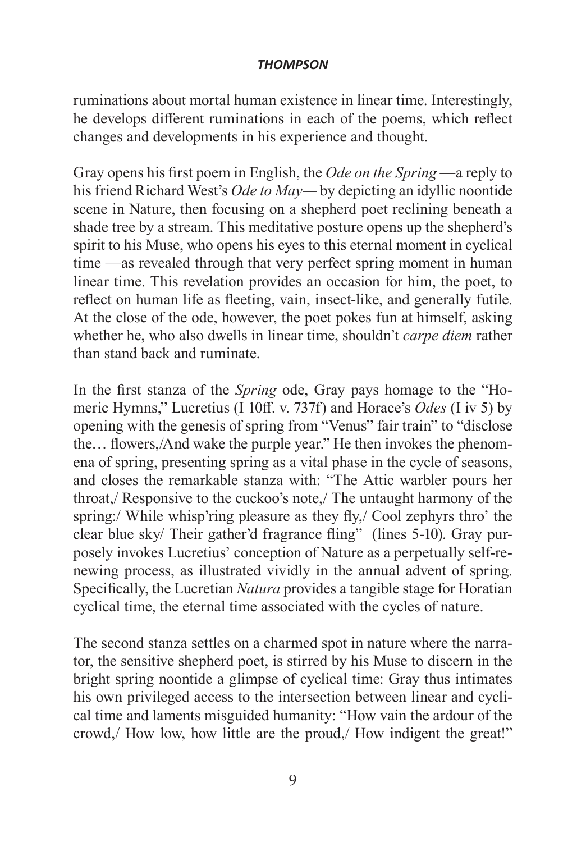ruminations about mortal human existence in linear time. Interestingly, he develops different ruminations in each of the poems, which reflect changes and developments in his experience and thought.

Gray opens his first poem in English, the *Ode on the Spring* —a reply to his friend Richard West's *Ode to May—* by depicting an idyllic noontide scene in Nature, then focusing on a shepherd poet reclining beneath a shade tree by a stream. This meditative posture opens up the shepherd's spirit to his Muse, who opens his eyes to this eternal moment in cyclical time —as revealed through that very perfect spring moment in human linear time. This revelation provides an occasion for him, the poet, to reflect on human life as fleeting, vain, insect-like, and generally futile. At the close of the ode, however, the poet pokes fun at himself, asking whether he, who also dwells in linear time, shouldn't *carpe diem* rather than stand back and ruminate.

In the first stanza of the *Spring* ode, Gray pays homage to the "Homeric Hymns," Lucretius (I 10ff. v. 737f) and Horace's *Odes* (I iv 5) by opening with the genesis of spring from "Venus" fair train" to "disclose the… flowers,/And wake the purple year." He then invokes the phenomena of spring, presenting spring as a vital phase in the cycle of seasons, and closes the remarkable stanza with: "The Attic warbler pours her throat,/ Responsive to the cuckoo's note,/ The untaught harmony of the spring:/ While whisp'ring pleasure as they fly,/ Cool zephyrs thro' the clear blue sky/ Their gather'd fragrance fling" (lines 5-10). Gray purposely invokes Lucretius' conception of Nature as a perpetually self-renewing process, as illustrated vividly in the annual advent of spring. Specifically, the Lucretian *Natura* provides a tangible stage for Horatian cyclical time, the eternal time associated with the cycles of nature.

The second stanza settles on a charmed spot in nature where the narrator, the sensitive shepherd poet, is stirred by his Muse to discern in the bright spring noontide a glimpse of cyclical time: Gray thus intimates his own privileged access to the intersection between linear and cyclical time and laments misguided humanity: "How vain the ardour of the crowd, How low, how little are the proud, How indigent the great!"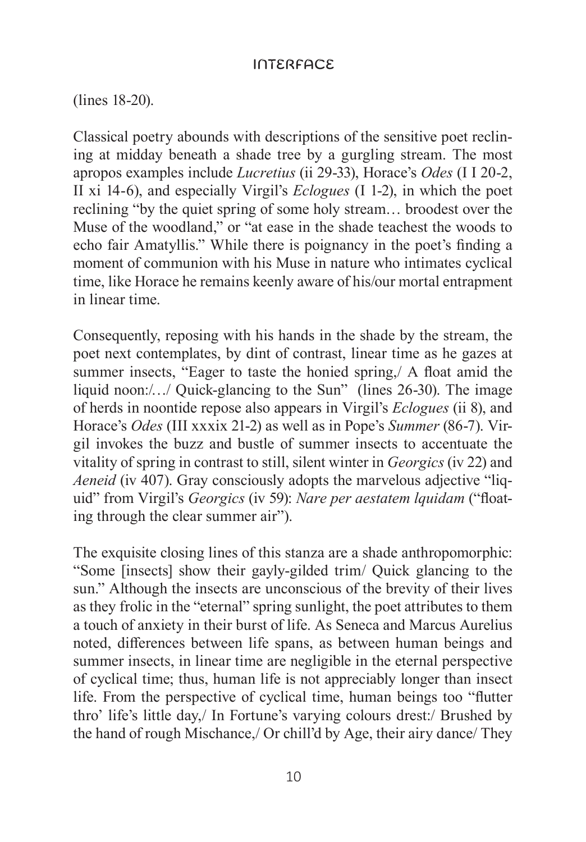(lines 18-20).

Classical poetry abounds with descriptions of the sensitive poet reclining at midday beneath a shade tree by a gurgling stream. The most apropos examples include *Lucretius* (ii 29-33), Horace's *Odes* (I I 20-2, II xi 14-6), and especially Virgil's *Eclogues* (I 1-2), in which the poet reclining "by the quiet spring of some holy stream… broodest over the Muse of the woodland," or "at ease in the shade teachest the woods to echo fair Amatyllis." While there is poignancy in the poet's finding a moment of communion with his Muse in nature who intimates cyclical time, like Horace he remains keenly aware of his/our mortal entrapment in linear time.

Consequently, reposing with his hands in the shade by the stream, the poet next contemplates, by dint of contrast, linear time as he gazes at summer insects, "Eager to taste the honied spring,/ A float amid the liquid noon:/.../ Quick-glancing to the Sun" (lines 26-30). The image of herds in noontide repose also appears in Virgil's *Eclogues* (ii 8), and Horace's *Odes* (III xxxix 21-2) as well as in Pope's *Summer* (86-7). Virgil invokes the buzz and bustle of summer insects to accentuate the vitality of spring in contrast to still, silent winter in *Georgics* (iv 22) and *Aeneid* (iv 407). Gray consciously adopts the marvelous adjective "liquid" from Virgil's *Georgics* (iv 59): *Nare per aestatem lquidam* ("floating through the clear summer air").

The exquisite closing lines of this stanza are a shade anthropomorphic: "Some [insects] show their gayly-gilded trim/ Quick glancing to the sun." Although the insects are unconscious of the brevity of their lives as they frolic in the "eternal" spring sunlight, the poet attributes to them a touch of anxiety in their burst of life. As Seneca and Marcus Aurelius noted, differences between life spans, as between human beings and summer insects, in linear time are negligible in the eternal perspective of cyclical time; thus, human life is not appreciably longer than insect life. From the perspective of cyclical time, human beings too "flutter thro' life's little day,/ In Fortune's varying colours drest:/ Brushed by the hand of rough Mischance,/ Or chill'd by Age, their airy dance/ They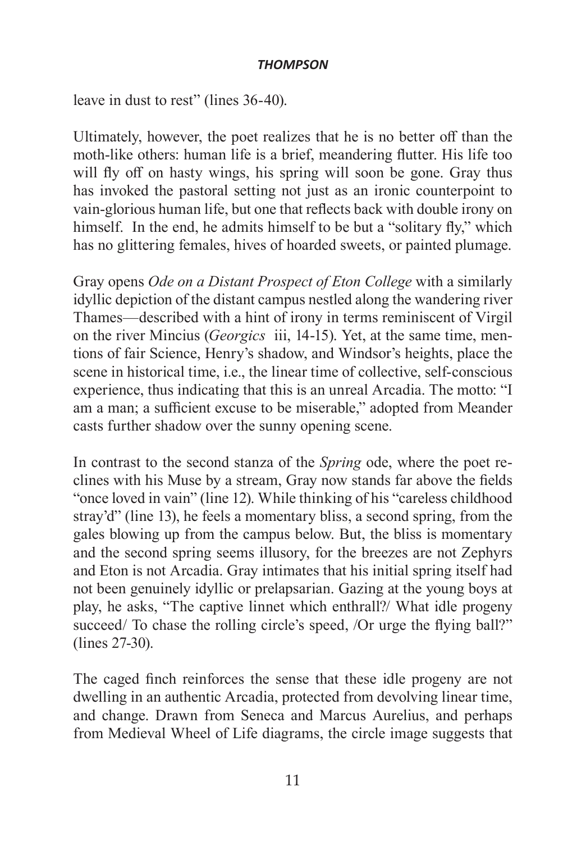leave in dust to rest" (lines 36-40).

Ultimately, however, the poet realizes that he is no better off than the moth-like others: human life is a brief, meandering flutter. His life too will fly off on hasty wings, his spring will soon be gone. Gray thus has invoked the pastoral setting not just as an ironic counterpoint to vain-glorious human life, but one that reflects back with double irony on himself. In the end, he admits himself to be but a "solitary fly," which has no glittering females, hives of hoarded sweets, or painted plumage.

Gray opens *Ode on a Distant Prospect of Eton College* with a similarly idyllic depiction of the distant campus nestled along the wandering river Thames—described with a hint of irony in terms reminiscent of Virgil on the river Mincius (*Georgics* iii, 14-15). Yet, at the same time, mentions of fair Science, Henry's shadow, and Windsor's heights, place the scene in historical time, i.e., the linear time of collective, self-conscious experience, thus indicating that this is an unreal Arcadia. The motto: "I am a man; a sufficient excuse to be miserable," adopted from Meander casts further shadow over the sunny opening scene.

In contrast to the second stanza of the *Spring* ode, where the poet reclines with his Muse by a stream, Gray now stands far above the fields "once loved in vain" (line 12). While thinking of his "careless childhood stray'd" (line 13), he feels a momentary bliss, a second spring, from the gales blowing up from the campus below. But, the bliss is momentary and the second spring seems illusory, for the breezes are not Zephyrs and Eton is not Arcadia. Gray intimates that his initial spring itself had not been genuinely idyllic or prelapsarian. Gazing at the young boys at play, he asks, "The captive linnet which enthrall?/ What idle progeny succeed/ To chase the rolling circle's speed, /Or urge the flying ball?" (lines 27-30).

The caged finch reinforces the sense that these idle progeny are not dwelling in an authentic Arcadia, protected from devolving linear time, and change. Drawn from Seneca and Marcus Aurelius, and perhaps from Medieval Wheel of Life diagrams, the circle image suggests that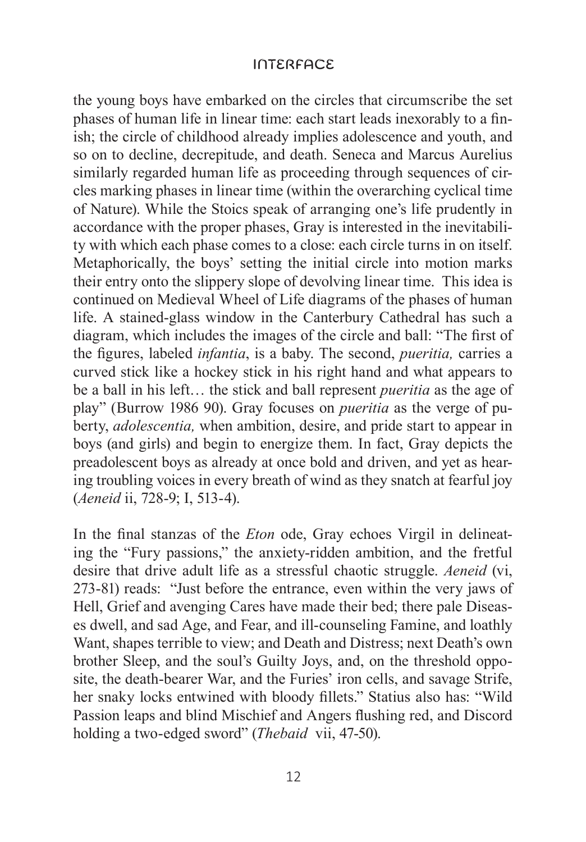the young boys have embarked on the circles that circumscribe the set phases of human life in linear time: each start leads inexorably to a finish; the circle of childhood already implies adolescence and youth, and so on to decline, decrepitude, and death. Seneca and Marcus Aurelius similarly regarded human life as proceeding through sequences of circles marking phases in linear time (within the overarching cyclical time of Nature). While the Stoics speak of arranging one's life prudently in accordance with the proper phases, Gray is interested in the inevitability with which each phase comes to a close: each circle turns in on itself. Metaphorically, the boys' setting the initial circle into motion marks their entry onto the slippery slope of devolving linear time. This idea is continued on Medieval Wheel of Life diagrams of the phases of human life. A stained-glass window in the Canterbury Cathedral has such a diagram, which includes the images of the circle and ball: "The first of the figures, labeled *infantia*, is a baby. The second, *pueritia,* carries a curved stick like a hockey stick in his right hand and what appears to be a ball in his left… the stick and ball represent *pueritia* as the age of play" (Burrow 1986 90). Gray focuses on *pueritia* as the verge of puberty, *adolescentia,* when ambition, desire, and pride start to appear in boys (and girls) and begin to energize them. In fact, Gray depicts the preadolescent boys as already at once bold and driven, and yet as hearing troubling voices in every breath of wind as they snatch at fearful joy (*Aeneid* ii, 728-9; I, 513-4).

In the final stanzas of the *Eton* ode, Gray echoes Virgil in delineating the "Fury passions," the anxiety-ridden ambition, and the fretful desire that drive adult life as a stressful chaotic struggle. *Aeneid* (vi, 273-81) reads: "Just before the entrance, even within the very jaws of Hell, Grief and avenging Cares have made their bed; there pale Diseases dwell, and sad Age, and Fear, and ill-counseling Famine, and loathly Want, shapes terrible to view; and Death and Distress; next Death's own brother Sleep, and the soul's Guilty Joys, and, on the threshold opposite, the death-bearer War, and the Furies' iron cells, and savage Strife, her snaky locks entwined with bloody fillets." Statius also has: "Wild Passion leaps and blind Mischief and Angers flushing red, and Discord holding a two-edged sword" (*Thebaid* vii, 47-50).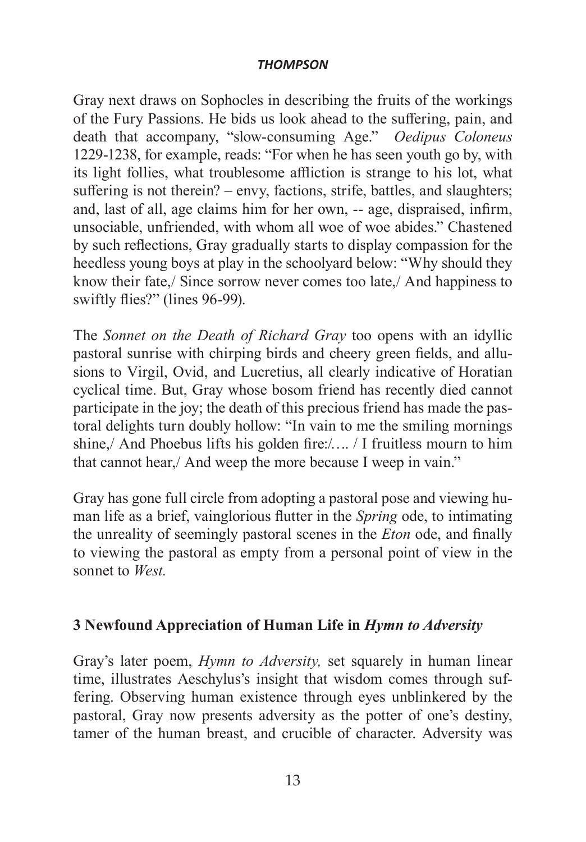Gray next draws on Sophocles in describing the fruits of the workings of the Fury Passions. He bids us look ahead to the suffering, pain, and death that accompany, "slow-consuming Age." *Oedipus Coloneus*  1229-1238, for example, reads: "For when he has seen youth go by, with its light follies, what troublesome affliction is strange to his lot, what suffering is not therein? – envy, factions, strife, battles, and slaughters; and, last of all, age claims him for her own, -- age, dispraised, infirm, unsociable, unfriended, with whom all woe of woe abides." Chastened by such reflections, Gray gradually starts to display compassion for the heedless young boys at play in the schoolyard below: "Why should they know their fate,/ Since sorrow never comes too late,/ And happiness to swiftly flies?" (lines 96-99).

The *Sonnet on the Death of Richard Gray* too opens with an idyllic pastoral sunrise with chirping birds and cheery green fields, and allusions to Virgil, Ovid, and Lucretius, all clearly indicative of Horatian cyclical time. But, Gray whose bosom friend has recently died cannot participate in the joy; the death of this precious friend has made the pastoral delights turn doubly hollow: "In vain to me the smiling mornings shine,/ And Phoebus lifts his golden fire:/…. / I fruitless mourn to him that cannot hear,/ And weep the more because I weep in vain."

Gray has gone full circle from adopting a pastoral pose and viewing human life as a brief, vainglorious flutter in the *Spring* ode, to intimating the unreality of seemingly pastoral scenes in the *Eton* ode, and finally to viewing the pastoral as empty from a personal point of view in the sonnet to *West.* 

### **3 Newfound Appreciation of Human Life in** *Hymn to Adversity*

Gray's later poem, *Hymn to Adversity,* set squarely in human linear time, illustrates Aeschylus's insight that wisdom comes through suffering. Observing human existence through eyes unblinkered by the pastoral, Gray now presents adversity as the potter of one's destiny, tamer of the human breast, and crucible of character. Adversity was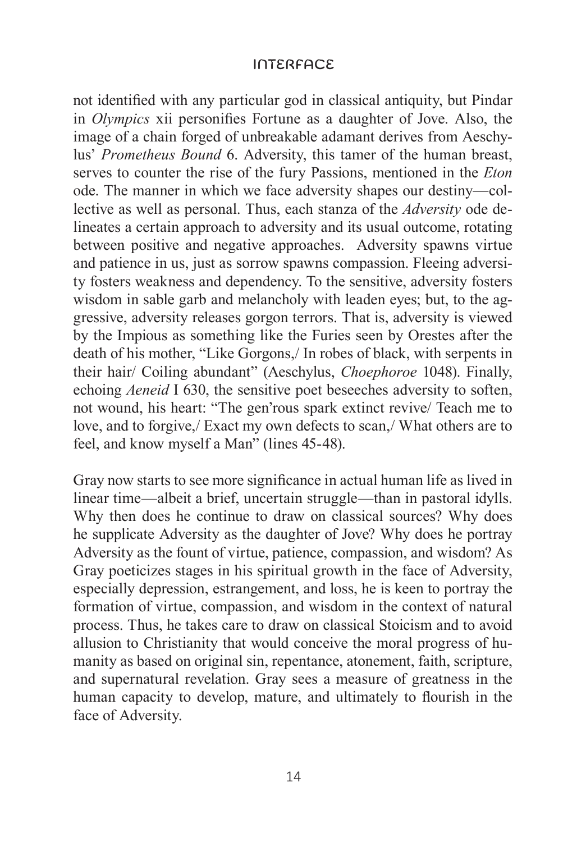not identified with any particular god in classical antiquity, but Pindar in *Olympics* xii personifies Fortune as a daughter of Jove. Also, the image of a chain forged of unbreakable adamant derives from Aeschylus' *Prometheus Bound* 6. Adversity, this tamer of the human breast, serves to counter the rise of the fury Passions, mentioned in the *Eton* ode. The manner in which we face adversity shapes our destiny—collective as well as personal. Thus, each stanza of the *Adversity* ode delineates a certain approach to adversity and its usual outcome, rotating between positive and negative approaches. Adversity spawns virtue and patience in us, just as sorrow spawns compassion. Fleeing adversity fosters weakness and dependency. To the sensitive, adversity fosters wisdom in sable garb and melancholy with leaden eyes; but, to the aggressive, adversity releases gorgon terrors. That is, adversity is viewed by the Impious as something like the Furies seen by Orestes after the death of his mother, "Like Gorgons,/ In robes of black, with serpents in their hair/ Coiling abundant" (Aeschylus, *Choephoroe* 1048). Finally, echoing *Aeneid* I 630, the sensitive poet beseeches adversity to soften, not wound, his heart: "The gen'rous spark extinct revive/ Teach me to love, and to forgive,/ Exact my own defects to scan,/ What others are to feel, and know myself a Man" (lines 45-48).

Gray now starts to see more significance in actual human life as lived in linear time—albeit a brief, uncertain struggle—than in pastoral idylls. Why then does he continue to draw on classical sources? Why does he supplicate Adversity as the daughter of Jove? Why does he portray Adversity as the fount of virtue, patience, compassion, and wisdom? As Gray poeticizes stages in his spiritual growth in the face of Adversity, especially depression, estrangement, and loss, he is keen to portray the formation of virtue, compassion, and wisdom in the context of natural process. Thus, he takes care to draw on classical Stoicism and to avoid allusion to Christianity that would conceive the moral progress of humanity as based on original sin, repentance, atonement, faith, scripture, and supernatural revelation. Gray sees a measure of greatness in the human capacity to develop, mature, and ultimately to flourish in the face of Adversity.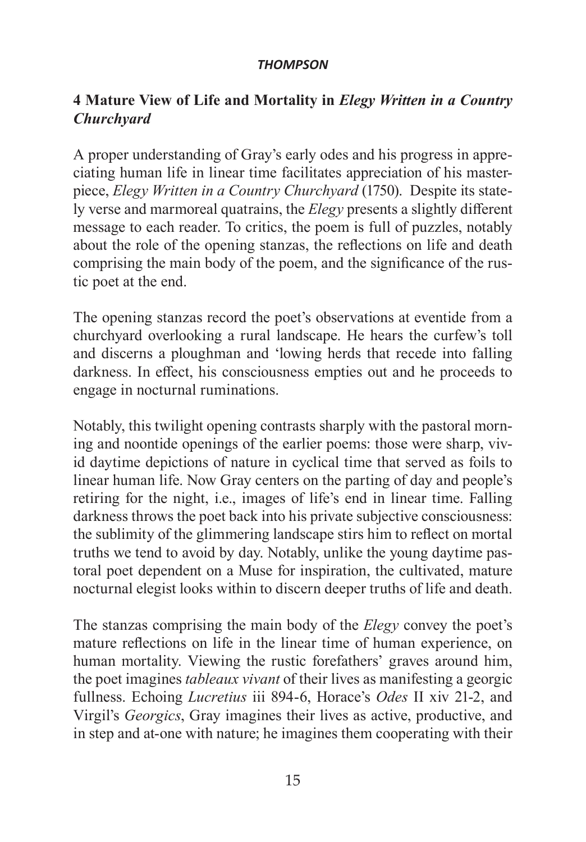### **4 Mature View of Life and Mortality in** *Elegy Written in a Country Churchyard*

A proper understanding of Gray's early odes and his progress in appreciating human life in linear time facilitates appreciation of his masterpiece, *Elegy Written in a Country Churchyard* (1750). Despite its stately verse and marmoreal quatrains, the *Elegy* presents a slightly different message to each reader. To critics, the poem is full of puzzles, notably about the role of the opening stanzas, the reflections on life and death comprising the main body of the poem, and the significance of the rustic poet at the end.

The opening stanzas record the poet's observations at eventide from a churchyard overlooking a rural landscape. He hears the curfew's toll and discerns a ploughman and 'lowing herds that recede into falling darkness. In effect, his consciousness empties out and he proceeds to engage in nocturnal ruminations.

Notably, this twilight opening contrasts sharply with the pastoral morning and noontide openings of the earlier poems: those were sharp, vivid daytime depictions of nature in cyclical time that served as foils to linear human life. Now Gray centers on the parting of day and people's retiring for the night, i.e., images of life's end in linear time. Falling darkness throws the poet back into his private subjective consciousness: the sublimity of the glimmering landscape stirs him to reflect on mortal truths we tend to avoid by day. Notably, unlike the young daytime pastoral poet dependent on a Muse for inspiration, the cultivated, mature nocturnal elegist looks within to discern deeper truths of life and death.

The stanzas comprising the main body of the *Elegy* convey the poet's mature reflections on life in the linear time of human experience, on human mortality. Viewing the rustic forefathers' graves around him, the poet imagines *tableaux vivant* of their lives as manifesting a georgic fullness. Echoing *Lucretius* iii 894-6, Horace's *Odes* II xiv 21-2, and Virgil's *Georgics*, Gray imagines their lives as active, productive, and in step and at-one with nature; he imagines them cooperating with their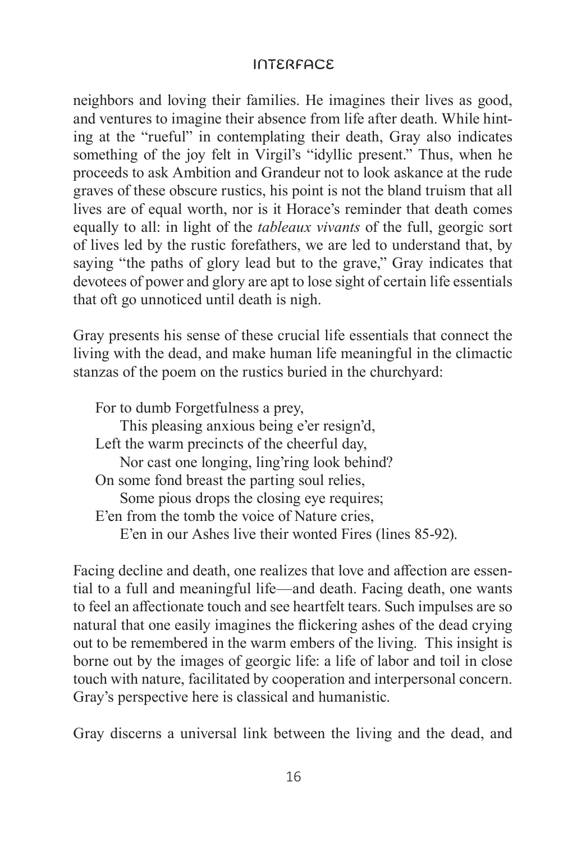neighbors and loving their families. He imagines their lives as good, and ventures to imagine their absence from life after death. While hinting at the "rueful" in contemplating their death, Gray also indicates something of the joy felt in Virgil's "idyllic present." Thus, when he proceeds to ask Ambition and Grandeur not to look askance at the rude graves of these obscure rustics, his point is not the bland truism that all lives are of equal worth, nor is it Horace's reminder that death comes equally to all: in light of the *tableaux vivants* of the full, georgic sort of lives led by the rustic forefathers, we are led to understand that, by saying "the paths of glory lead but to the grave," Gray indicates that devotees of power and glory are apt to lose sight of certain life essentials that oft go unnoticed until death is nigh.

Gray presents his sense of these crucial life essentials that connect the living with the dead, and make human life meaningful in the climactic stanzas of the poem on the rustics buried in the churchyard:

For to dumb Forgetfulness a prey, This pleasing anxious being e'er resign'd, Left the warm precincts of the cheerful day, Nor cast one longing, ling'ring look behind? On some fond breast the parting soul relies, Some pious drops the closing eye requires; E'en from the tomb the voice of Nature cries, E'en in our Ashes live their wonted Fires (lines 85-92).

Facing decline and death, one realizes that love and affection are essential to a full and meaningful life—and death. Facing death, one wants to feel an affectionate touch and see heartfelt tears. Such impulses are so natural that one easily imagines the flickering ashes of the dead crying out to be remembered in the warm embers of the living. This insight is borne out by the images of georgic life: a life of labor and toil in close touch with nature, facilitated by cooperation and interpersonal concern. Gray's perspective here is classical and humanistic.

Gray discerns a universal link between the living and the dead, and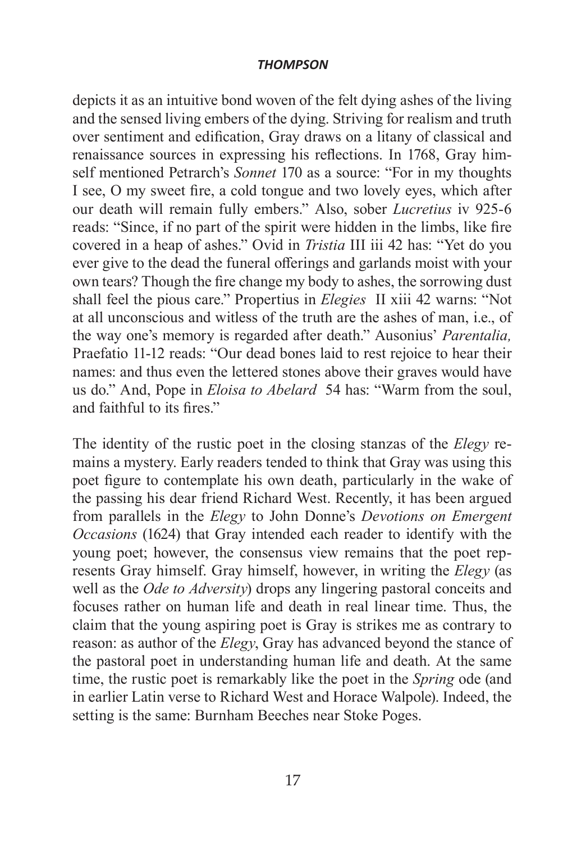depicts it as an intuitive bond woven of the felt dying ashes of the living and the sensed living embers of the dying. Striving for realism and truth over sentiment and edification, Gray draws on a litany of classical and renaissance sources in expressing his reflections. In 1768, Gray himself mentioned Petrarch's *Sonnet* 170 as a source: "For in my thoughts I see, O my sweet fire, a cold tongue and two lovely eyes, which after our death will remain fully embers." Also, sober *Lucretius* iv 925-6 reads: "Since, if no part of the spirit were hidden in the limbs, like fire covered in a heap of ashes." Ovid in *Tristia* III iii 42 has: "Yet do you ever give to the dead the funeral offerings and garlands moist with your own tears? Though the fire change my body to ashes, the sorrowing dust shall feel the pious care." Propertius in *Elegies* II xiii 42 warns: "Not at all unconscious and witless of the truth are the ashes of man, i.e., of the way one's memory is regarded after death." Ausonius' *Parentalia,*  Praefatio 11-12 reads: "Our dead bones laid to rest rejoice to hear their names: and thus even the lettered stones above their graves would have us do." And, Pope in *Eloisa to Abelard* 54 has: "Warm from the soul, and faithful to its fires."

The identity of the rustic poet in the closing stanzas of the *Elegy* remains a mystery. Early readers tended to think that Gray was using this poet figure to contemplate his own death, particularly in the wake of the passing his dear friend Richard West. Recently, it has been argued from parallels in the *Elegy* to John Donne's *Devotions on Emergent Occasions* (1624) that Gray intended each reader to identify with the young poet; however, the consensus view remains that the poet represents Gray himself. Gray himself, however, in writing the *Elegy* (as well as the *Ode to Adversity*) drops any lingering pastoral conceits and focuses rather on human life and death in real linear time. Thus, the claim that the young aspiring poet is Gray is strikes me as contrary to reason: as author of the *Elegy*, Gray has advanced beyond the stance of the pastoral poet in understanding human life and death. At the same time, the rustic poet is remarkably like the poet in the *Spring* ode (and in earlier Latin verse to Richard West and Horace Walpole). Indeed, the setting is the same: Burnham Beeches near Stoke Poges.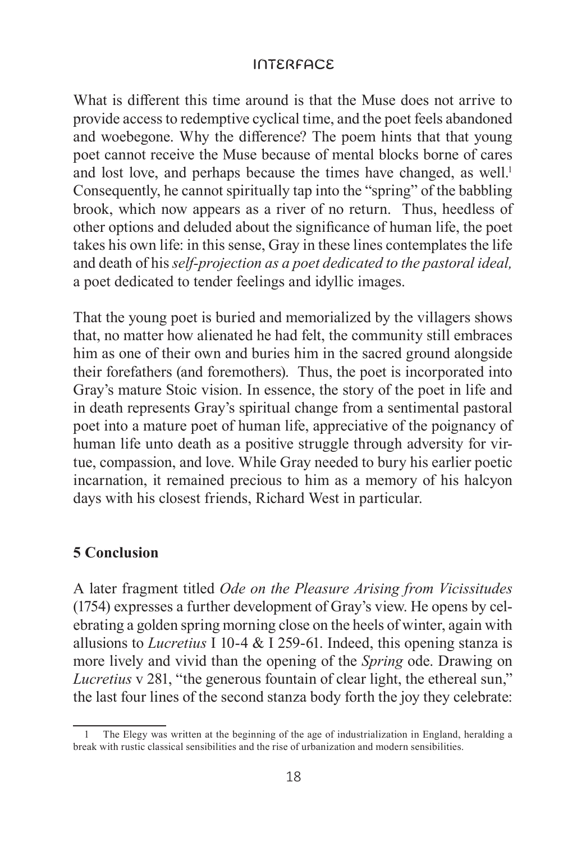What is different this time around is that the Muse does not arrive to provide access to redemptive cyclical time, and the poet feels abandoned and woebegone. Why the difference? The poem hints that that young poet cannot receive the Muse because of mental blocks borne of cares and lost love, and perhaps because the times have changed, as well.<sup>1</sup> Consequently, he cannot spiritually tap into the "spring" of the babbling brook, which now appears as a river of no return. Thus, heedless of other options and deluded about the significance of human life, the poet takes his own life: in this sense, Gray in these lines contemplates the life and death of his *self-projection as a poet dedicated to the pastoral ideal,* a poet dedicated to tender feelings and idyllic images.

That the young poet is buried and memorialized by the villagers shows that, no matter how alienated he had felt, the community still embraces him as one of their own and buries him in the sacred ground alongside their forefathers (and foremothers). Thus, the poet is incorporated into Gray's mature Stoic vision. In essence, the story of the poet in life and in death represents Gray's spiritual change from a sentimental pastoral poet into a mature poet of human life, appreciative of the poignancy of human life unto death as a positive struggle through adversity for virtue, compassion, and love. While Gray needed to bury his earlier poetic incarnation, it remained precious to him as a memory of his halcyon days with his closest friends, Richard West in particular.

### **5 Conclusion**

A later fragment titled *Ode on the Pleasure Arising from Vicissitudes*  (1754) expresses a further development of Gray's view. He opens by celebrating a golden spring morning close on the heels of winter, again with allusions to *Lucretius* I 10-4 & I 259-61. Indeed, this opening stanza is more lively and vivid than the opening of the *Spring* ode. Drawing on *Lucretius* v 281, "the generous fountain of clear light, the ethereal sun," the last four lines of the second stanza body forth the joy they celebrate:

<sup>1</sup> The Elegy was written at the beginning of the age of industrialization in England, heralding a break with rustic classical sensibilities and the rise of urbanization and modern sensibilities.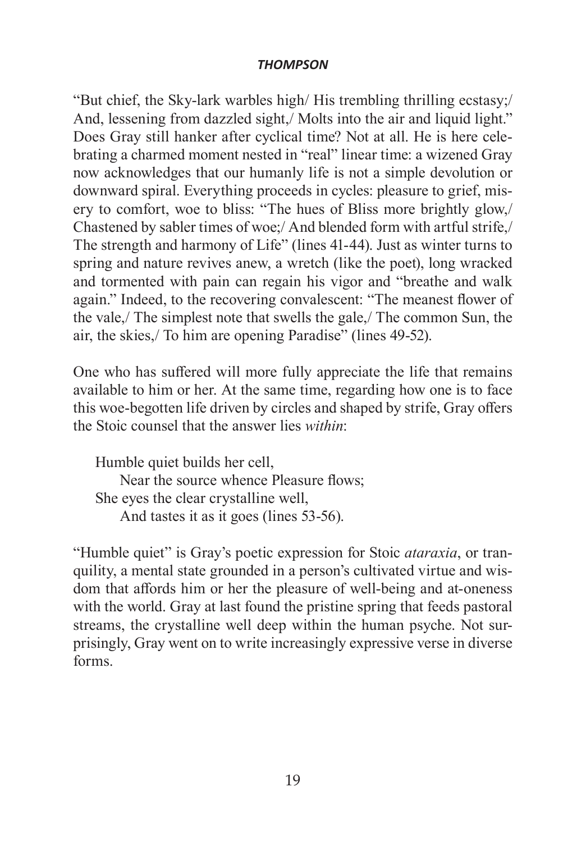"But chief, the Sky-lark warbles high/ His trembling thrilling ecstasy;/ And, lessening from dazzled sight,/ Molts into the air and liquid light." Does Gray still hanker after cyclical time? Not at all. He is here celebrating a charmed moment nested in "real" linear time: a wizened Gray now acknowledges that our humanly life is not a simple devolution or downward spiral. Everything proceeds in cycles: pleasure to grief, misery to comfort, woe to bliss: "The hues of Bliss more brightly glow,/ Chastened by sabler times of woe;/ And blended form with artful strife,/ The strength and harmony of Life" (lines 41-44). Just as winter turns to spring and nature revives anew, a wretch (like the poet), long wracked and tormented with pain can regain his vigor and "breathe and walk again." Indeed, to the recovering convalescent: "The meanest flower of the vale,/ The simplest note that swells the gale,/ The common Sun, the air, the skies,/ To him are opening Paradise" (lines 49-52).

One who has suffered will more fully appreciate the life that remains available to him or her. At the same time, regarding how one is to face this woe-begotten life driven by circles and shaped by strife, Gray offers the Stoic counsel that the answer lies *within*:

Humble quiet builds her cell, Near the source whence Pleasure flows; She eyes the clear crystalline well, And tastes it as it goes (lines 53-56).

"Humble quiet" is Gray's poetic expression for Stoic *ataraxia*, or tranquility, a mental state grounded in a person's cultivated virtue and wisdom that affords him or her the pleasure of well-being and at-oneness with the world. Gray at last found the pristine spring that feeds pastoral streams, the crystalline well deep within the human psyche. Not surprisingly, Gray went on to write increasingly expressive verse in diverse forms.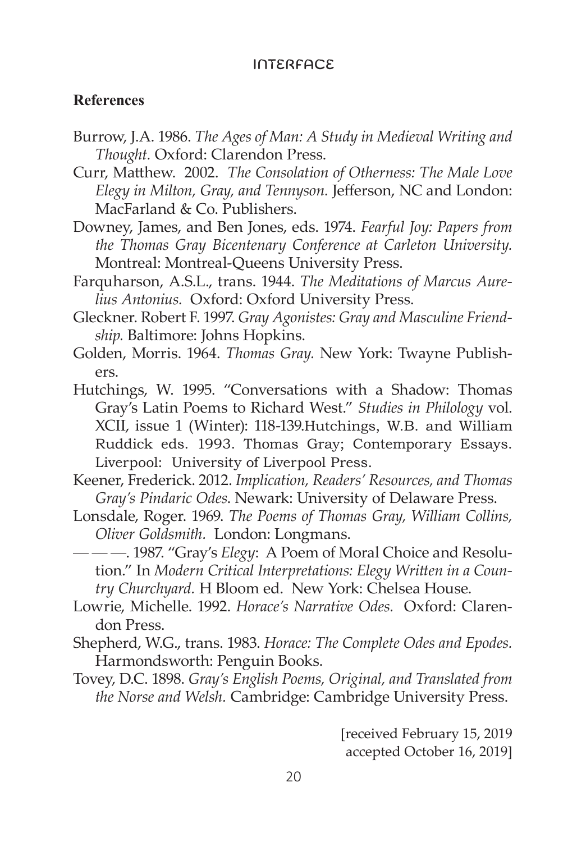#### **References**

- Burrow, J.A. 1986. *The Ages of Man: A Study in Medieval Writing and Thought.* Oxford: Clarendon Press.
- Curr, Matthew. 2002. *The Consolation of Otherness: The Male Love Elegy in Milton, Gray, and Tennyson.* Jefferson, NC and London: MacFarland & Co. Publishers.
- Downey, James, and Ben Jones, eds. 1974. *Fearful Joy: Papers from the Thomas Gray Bicentenary Conference at Carleton University.*  Montreal: Montreal-Queens University Press.
- Farquharson, A.S.L., trans. 1944. *The Meditations of Marcus Aurelius Antonius.* Oxford: Oxford University Press.
- Gleckner. Robert F. 1997. *Gray Agonistes: Gray and Masculine Friendship.* Baltimore: Johns Hopkins.
- Golden, Morris. 1964. *Thomas Gray.* New York: Twayne Publishers.
- Hutchings, W. 1995. "Conversations with a Shadow: Thomas Gray's Latin Poems to Richard West." *Studies in Philology* vol. XCII, issue 1 (Winter): 118-139.Hutchings, W.B. and William Ruddick eds. 1993. Thomas Gray; Contemporary Essays. Liverpool: University of Liverpool Press.
- Keener, Frederick. 2012. *Implication, Readers' Resources, and Thomas Gray's Pindaric Odes*. Newark: University of Delaware Press.
- Lonsdale, Roger. 1969. *The Poems of Thomas Gray, William Collins, Oliver Goldsmith.* London: Longmans.
- — —. 1987. "Gray's *Elegy*: A Poem of Moral Choice and Resolution." In *Modern Critical Interpretations: Elegy Written in a Country Churchyard.* H Bloom ed. New York: Chelsea House.
- Lowrie, Michelle. 1992. *Horace's Narrative Odes.* Oxford: Clarendon Press.
- Shepherd, W.G., trans. 1983. *Horace: The Complete Odes and Epodes.*  Harmondsworth: Penguin Books.
- Tovey, D.C. 1898. *Gray's English Poems, Original, and Translated from the Norse and Welsh.* Cambridge: Cambridge University Press.

[received February 15, 2019 accepted October 16, 2019]